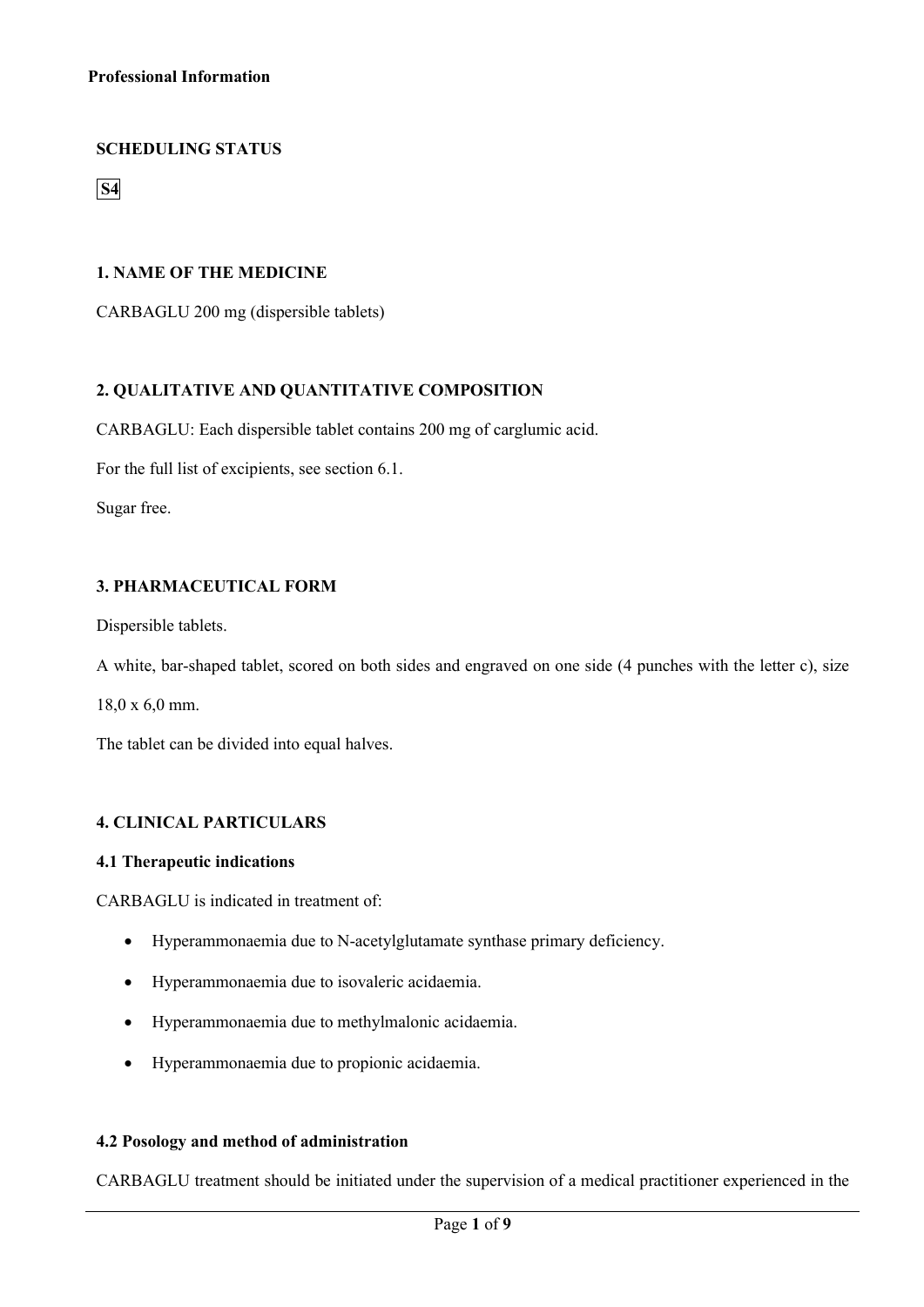# **SCHEDULING STATUS**

**S4**

## **1. NAME OF THE MEDICINE**

CARBAGLU 200 mg (dispersible tablets)

# **2. QUALITATIVE AND QUANTITATIVE COMPOSITION**

CARBAGLU: Each dispersible tablet contains 200 mg of carglumic acid.

For the full list of excipients, see section 6.1.

Sugar free.

# **3. PHARMACEUTICAL FORM**

Dispersible tablets.

A white, bar-shaped tablet, scored on both sides and engraved on one side (4 punches with the letter c), size

18,0 x 6,0 mm.

The tablet can be divided into equal halves.

## **4. CLINICAL PARTICULARS**

### **4.1 Therapeutic indications**

CARBAGLU is indicated in treatment of:

- Hyperammonaemia due to N-acetylglutamate synthase primary deficiency.
- Hyperammonaemia due to isovaleric acidaemia.
- Hyperammonaemia due to methylmalonic acidaemia.
- Hyperammonaemia due to propionic acidaemia.

## **4.2 Posology and method of administration**

CARBAGLU treatment should be initiated under the supervision of a medical practitioner experienced in the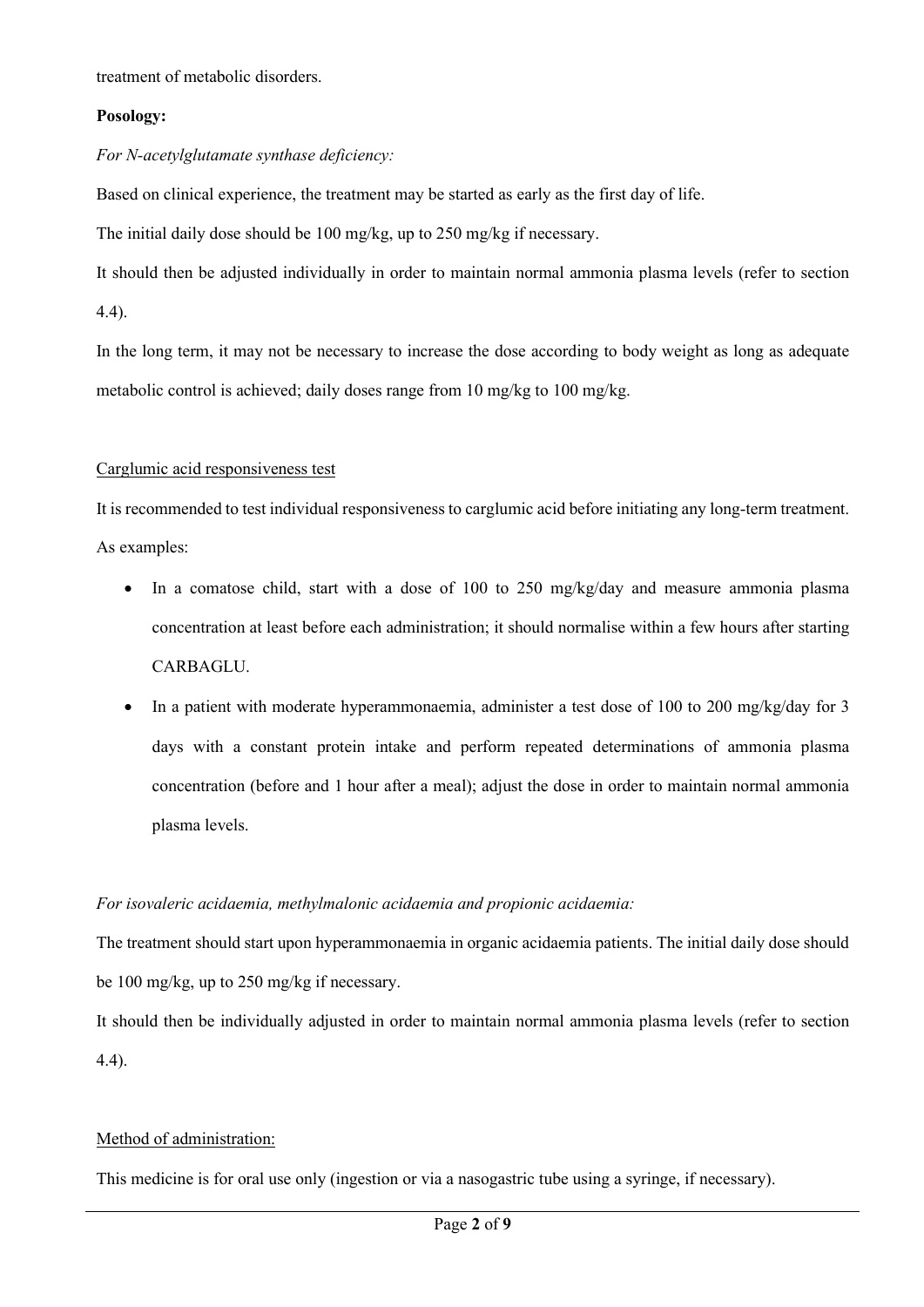treatment of metabolic disorders.

## **Posology:**

# *For N-acetylglutamate synthase deficiency:*

Based on clinical experience, the treatment may be started as early as the first day of life.

The initial daily dose should be 100 mg/kg, up to 250 mg/kg if necessary.

It should then be adjusted individually in order to maintain normal ammonia plasma levels (refer to section 4.4).

In the long term, it may not be necessary to increase the dose according to body weight as long as adequate metabolic control is achieved; daily doses range from 10 mg/kg to 100 mg/kg.

# Carglumic acid responsiveness test

It is recommended to test individual responsiveness to carglumic acid before initiating any long-term treatment. As examples:

- In a comatose child, start with a dose of 100 to 250 mg/kg/day and measure ammonia plasma concentration at least before each administration; it should normalise within a few hours after starting CARBAGLU.
- In a patient with moderate hyperammonaemia, administer a test dose of 100 to 200 mg/kg/day for 3 days with a constant protein intake and perform repeated determinations of ammonia plasma concentration (before and 1 hour after a meal); adjust the dose in order to maintain normal ammonia plasma levels.

# *For isovaleric acidaemia, methylmalonic acidaemia and propionic acidaemia:*

The treatment should start upon hyperammonaemia in organic acidaemia patients. The initial daily dose should be 100 mg/kg, up to 250 mg/kg if necessary.

It should then be individually adjusted in order to maintain normal ammonia plasma levels (refer to section 4.4).

# Method of administration:

This medicine is for oral use only (ingestion or via a nasogastric tube using a syringe, if necessary).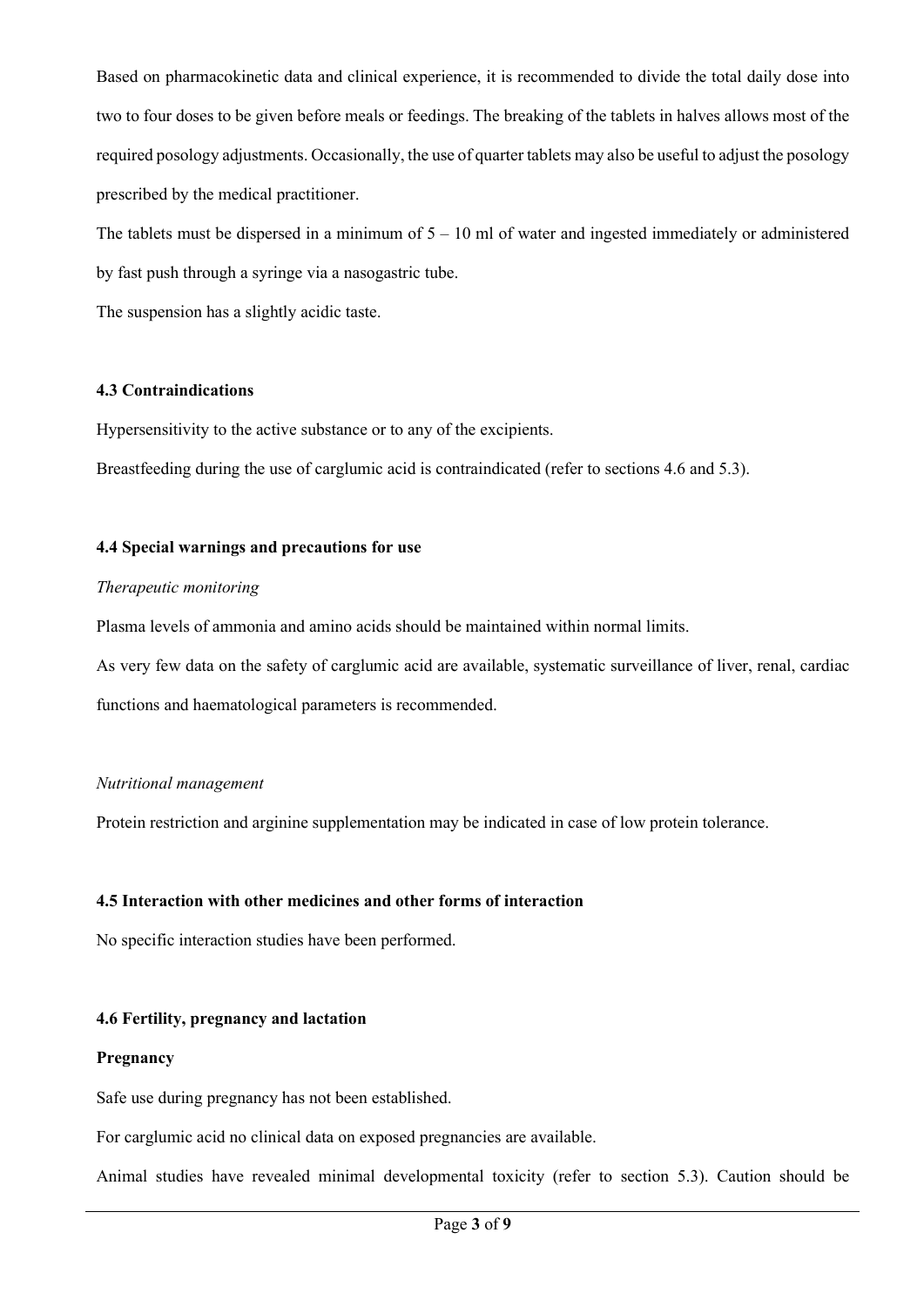Based on pharmacokinetic data and clinical experience, it is recommended to divide the total daily dose into two to four doses to be given before meals or feedings. The breaking of the tablets in halves allows most of the required posology adjustments. Occasionally, the use of quarter tablets may also be useful to adjust the posology prescribed by the medical practitioner.

The tablets must be dispersed in a minimum of  $5 - 10$  ml of water and ingested immediately or administered by fast push through a syringe via a nasogastric tube.

The suspension has a slightly acidic taste.

## **4.3 Contraindications**

Hypersensitivity to the active substance or to any of the excipients.

Breastfeeding during the use of carglumic acid is contraindicated (refer to sections 4.6 and 5.3).

## **4.4 Special warnings and precautions for use**

### *Therapeutic monitoring*

Plasma levels of ammonia and amino acids should be maintained within normal limits.

As very few data on the safety of carglumic acid are available, systematic surveillance of liver, renal, cardiac functions and haematological parameters is recommended.

### *Nutritional management*

Protein restriction and arginine supplementation may be indicated in case of low protein tolerance.

### **4.5 Interaction with other medicines and other forms of interaction**

No specific interaction studies have been performed.

### **4.6 Fertility, pregnancy and lactation**

### **Pregnancy**

Safe use during pregnancy has not been established.

For carglumic acid no clinical data on exposed pregnancies are available.

Animal studies have revealed minimal developmental toxicity (refer to section 5.3). Caution should be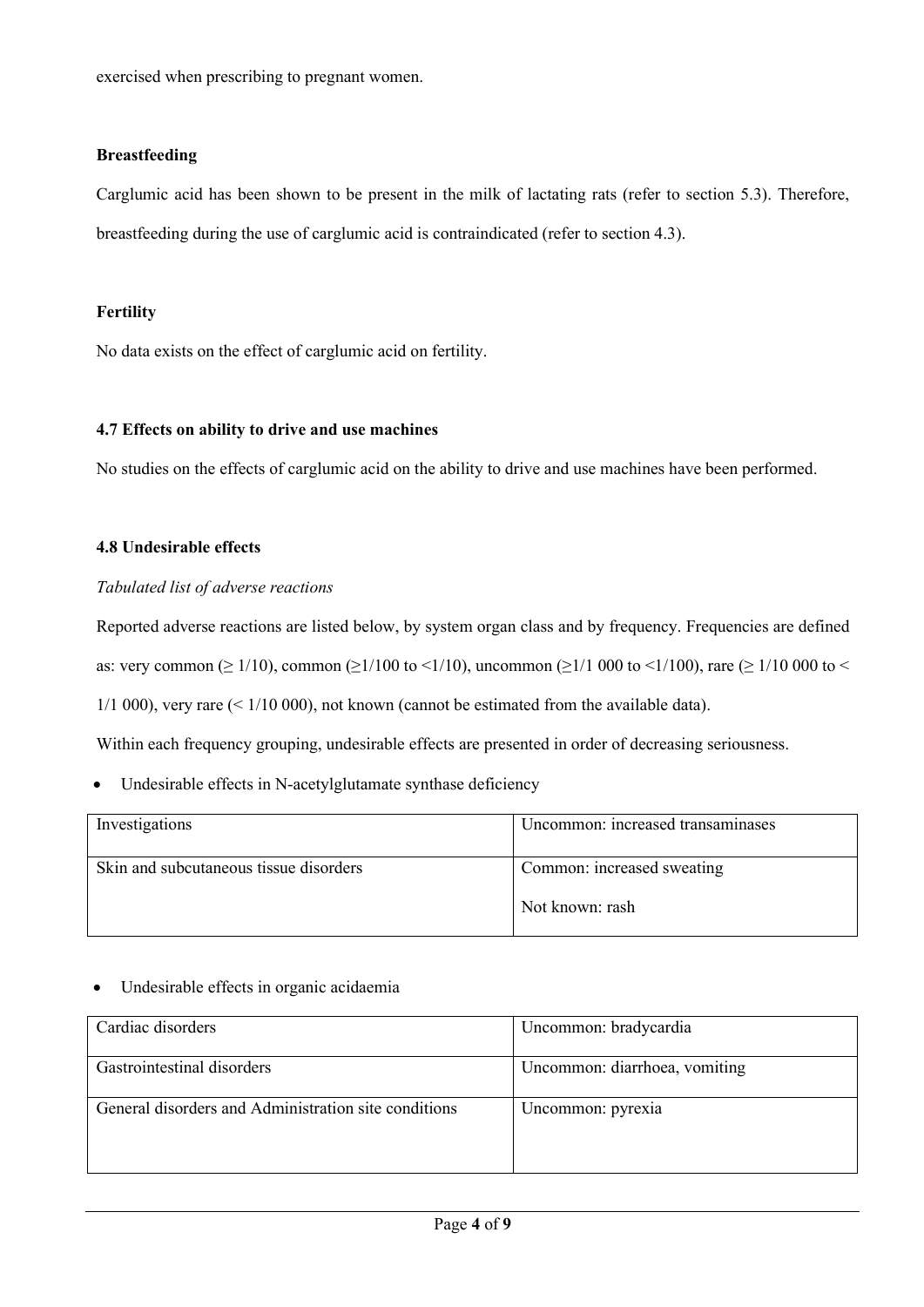exercised when prescribing to pregnant women.

## **Breastfeeding**

Carglumic acid has been shown to be present in the milk of lactating rats (refer to section 5.3). Therefore, breastfeeding during the use of carglumic acid is contraindicated (refer to section 4.3).

# **Fertility**

No data exists on the effect of carglumic acid on fertility.

## **4.7 Effects on ability to drive and use machines**

No studies on the effects of carglumic acid on the ability to drive and use machines have been performed.

# **4.8 Undesirable effects**

## *Tabulated list of adverse reactions*

Reported adverse reactions are listed below, by system organ class and by frequency. Frequencies are defined

as: very common ( $\geq 1/10$ ), common ( $\geq 1/100$  to  $\leq 1/10$ ), uncommon ( $\geq 1/1000$  to  $\leq 1/1000$ ) to  $\leq 1/1000$  to  $\leq$ 

 $1/1\,000$ , very rare  $(1/10\,000)$ , not known (cannot be estimated from the available data).

Within each frequency grouping, undesirable effects are presented in order of decreasing seriousness.

• Undesirable effects in N-acetylglutamate synthase deficiency

| Investigations                         | Uncommon: increased transaminases |
|----------------------------------------|-----------------------------------|
| Skin and subcutaneous tissue disorders | Common: increased sweating        |
|                                        | Not known: rash                   |

## • Undesirable effects in organic acidaemia

| Cardiac disorders                                    | Uncommon: bradycardia         |
|------------------------------------------------------|-------------------------------|
| Gastrointestinal disorders                           | Uncommon: diarrhoea, vomiting |
| General disorders and Administration site conditions | Uncommon: pyrexia             |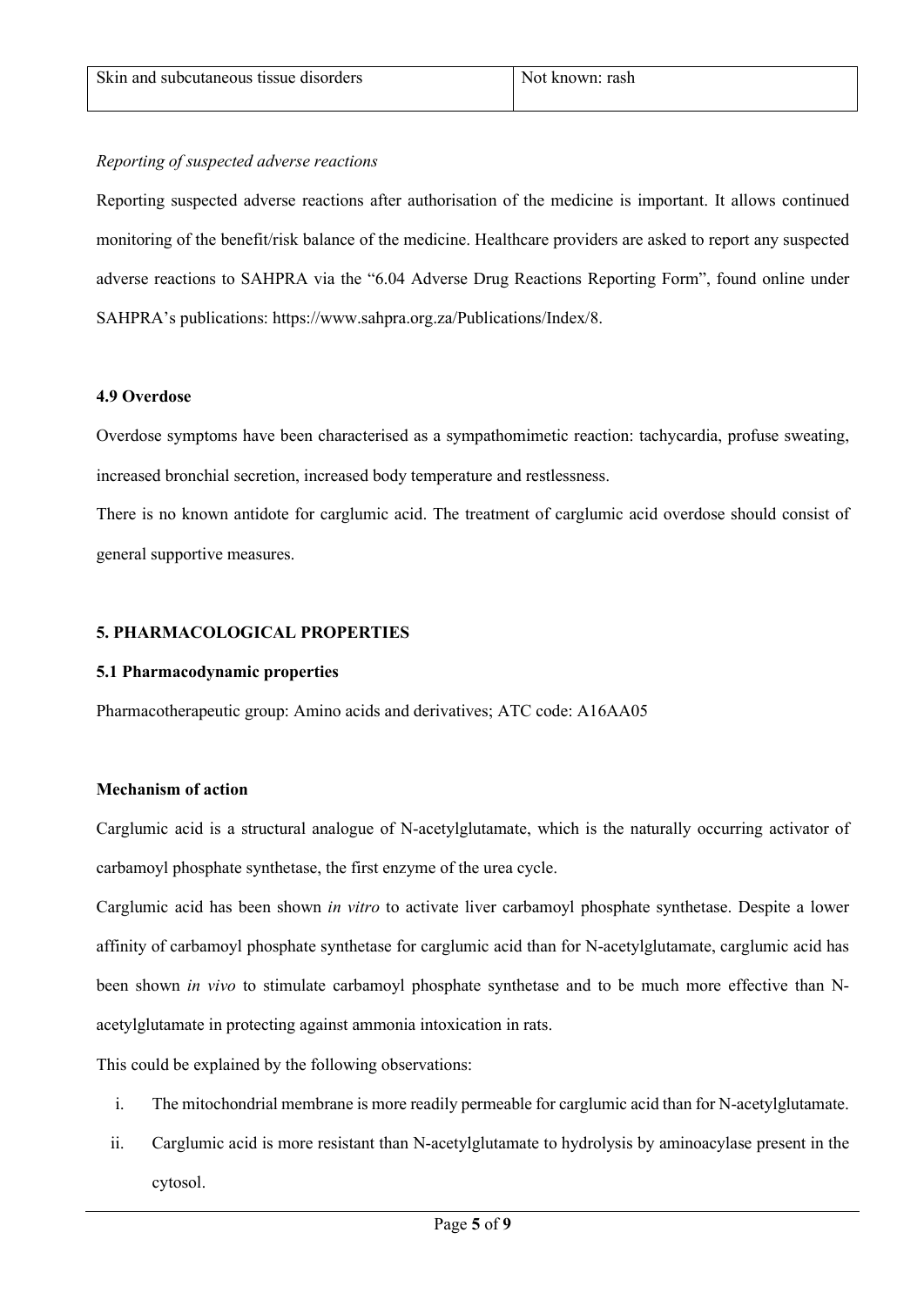## *Reporting of suspected adverse reactions*

Reporting suspected adverse reactions after authorisation of the medicine is important. It allows continued monitoring of the benefit/risk balance of the medicine. Healthcare providers are asked to report any suspected adverse reactions to SAHPRA via the "6.04 Adverse Drug Reactions Reporting Form", found online under SAHPRA's publications: https://www.sahpra.org.za/Publications/Index/8.

## **4.9 Overdose**

Overdose symptoms have been characterised as a sympathomimetic reaction: tachycardia, profuse sweating, increased bronchial secretion, increased body temperature and restlessness.

There is no known antidote for carglumic acid. The treatment of carglumic acid overdose should consist of general supportive measures.

## **5. PHARMACOLOGICAL PROPERTIES**

## **5.1 Pharmacodynamic properties**

Pharmacotherapeutic group: Amino acids and derivatives; ATC code: A16AA05

## **Mechanism of action**

Carglumic acid is a structural analogue of N-acetylglutamate, which is the naturally occurring activator of carbamoyl phosphate synthetase, the first enzyme of the urea cycle.

Carglumic acid has been shown *in vitro* to activate liver carbamoyl phosphate synthetase. Despite a lower affinity of carbamoyl phosphate synthetase for carglumic acid than for N-acetylglutamate, carglumic acid has been shown *in vivo* to stimulate carbamoyl phosphate synthetase and to be much more effective than Nacetylglutamate in protecting against ammonia intoxication in rats.

This could be explained by the following observations:

- i. The mitochondrial membrane is more readily permeable for carglumic acid than for N-acetylglutamate.
- ii. Carglumic acid is more resistant than N-acetylglutamate to hydrolysis by aminoacylase present in the cytosol.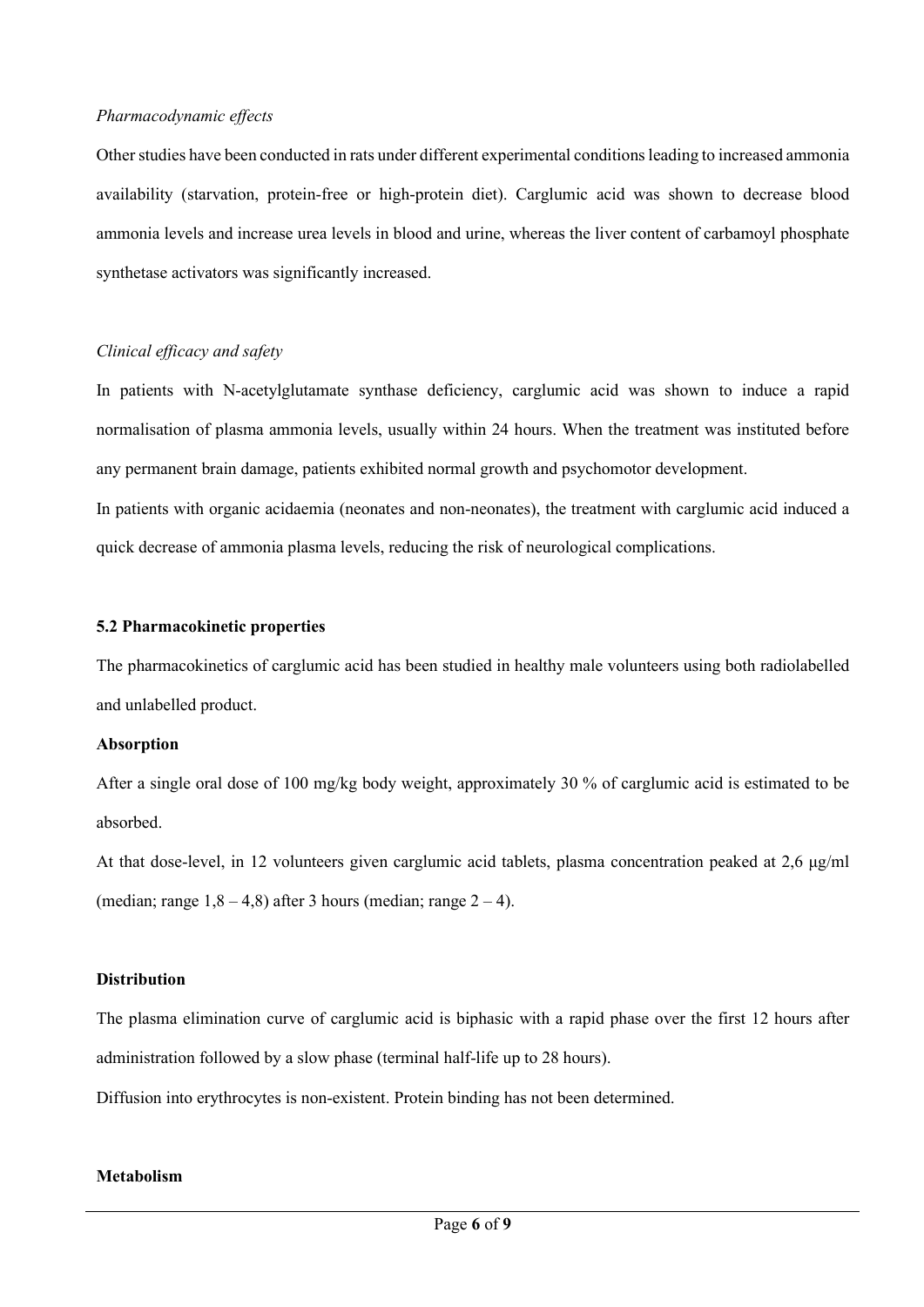#### *Pharmacodynamic effects*

Other studies have been conducted in rats under different experimental conditions leading to increased ammonia availability (starvation, protein-free or high-protein diet). Carglumic acid was shown to decrease blood ammonia levels and increase urea levels in blood and urine, whereas the liver content of carbamoyl phosphate synthetase activators was significantly increased.

## *Clinical efficacy and safety*

In patients with N-acetylglutamate synthase deficiency, carglumic acid was shown to induce a rapid normalisation of plasma ammonia levels, usually within 24 hours. When the treatment was instituted before any permanent brain damage, patients exhibited normal growth and psychomotor development. In patients with organic acidaemia (neonates and non-neonates), the treatment with carglumic acid induced a quick decrease of ammonia plasma levels, reducing the risk of neurological complications.

#### **5.2 Pharmacokinetic properties**

The pharmacokinetics of carglumic acid has been studied in healthy male volunteers using both radiolabelled and unlabelled product.

#### **Absorption**

After a single oral dose of 100 mg/kg body weight, approximately 30 % of carglumic acid is estimated to be absorbed.

At that dose-level, in 12 volunteers given carglumic acid tablets, plasma concentration peaked at 2,6 μg/ml (median; range  $1,8 - 4,8$ ) after 3 hours (median; range  $2 - 4$ ).

### **Distribution**

The plasma elimination curve of carglumic acid is biphasic with a rapid phase over the first 12 hours after administration followed by a slow phase (terminal half-life up to 28 hours).

Diffusion into erythrocytes is non-existent. Protein binding has not been determined.

### **Metabolism**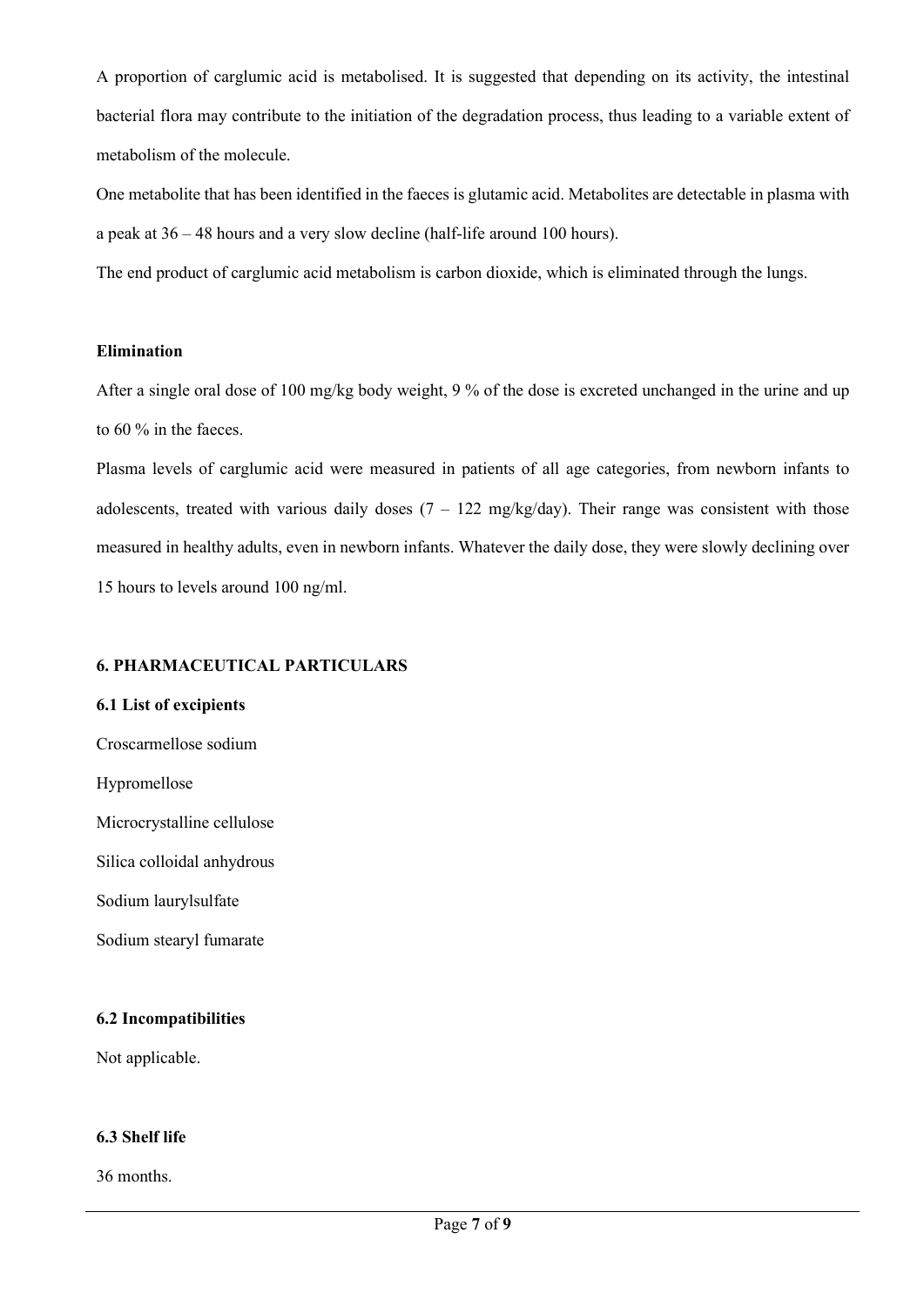A proportion of carglumic acid is metabolised. It is suggested that depending on its activity, the intestinal bacterial flora may contribute to the initiation of the degradation process, thus leading to a variable extent of metabolism of the molecule.

One metabolite that has been identified in the faeces is glutamic acid. Metabolites are detectable in plasma with a peak at 36 – 48 hours and a very slow decline (half-life around 100 hours).

The end product of carglumic acid metabolism is carbon dioxide, which is eliminated through the lungs.

## **Elimination**

After a single oral dose of 100 mg/kg body weight, 9 % of the dose is excreted unchanged in the urine and up to 60 % in the faeces.

Plasma levels of carglumic acid were measured in patients of all age categories, from newborn infants to adolescents, treated with various daily doses  $(7 - 122 \text{ mg/kg/day})$ . Their range was consistent with those measured in healthy adults, even in newborn infants. Whatever the daily dose, they were slowly declining over 15 hours to levels around 100 ng/ml.

## **6. PHARMACEUTICAL PARTICULARS**

# **6.1 List of excipients**

Croscarmellose sodium

Hypromellose

Microcrystalline cellulose

Silica colloidal anhydrous

Sodium laurylsulfate

Sodium stearyl fumarate

## **6.2 Incompatibilities**

Not applicable.

# **6.3 Shelf life**

36 months.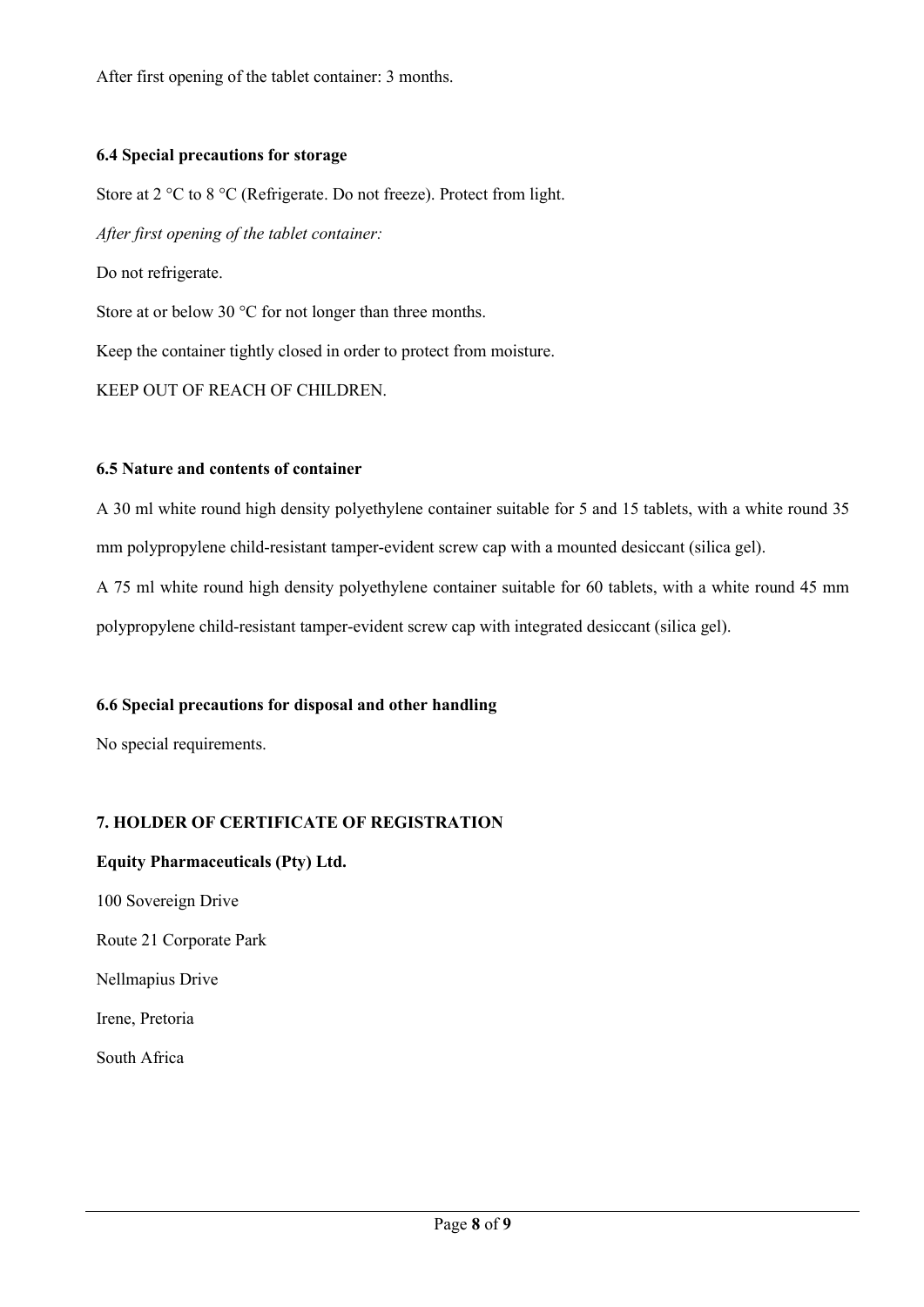After first opening of the tablet container: 3 months.

## **6.4 Special precautions for storage**

Store at 2 °C to 8 °C (Refrigerate. Do not freeze). Protect from light.

*After first opening of the tablet container:*

Do not refrigerate.

Store at or below 30 °C for not longer than three months.

Keep the container tightly closed in order to protect from moisture.

KEEP OUT OF REACH OF CHILDREN.

## **6.5 Nature and contents of container**

A 30 ml white round high density polyethylene container suitable for 5 and 15 tablets, with a white round 35 mm polypropylene child-resistant tamper-evident screw cap with a mounted desiccant (silica gel).

A 75 ml white round high density polyethylene container suitable for 60 tablets, with a white round 45 mm polypropylene child-resistant tamper-evident screw cap with integrated desiccant (silica gel).

## **6.6 Special precautions for disposal and other handling**

No special requirements.

## **7. HOLDER OF CERTIFICATE OF REGISTRATION**

## **Equity Pharmaceuticals (Pty) Ltd.**

100 Sovereign Drive

Route 21 Corporate Park

Nellmapius Drive

Irene, Pretoria

South Africa